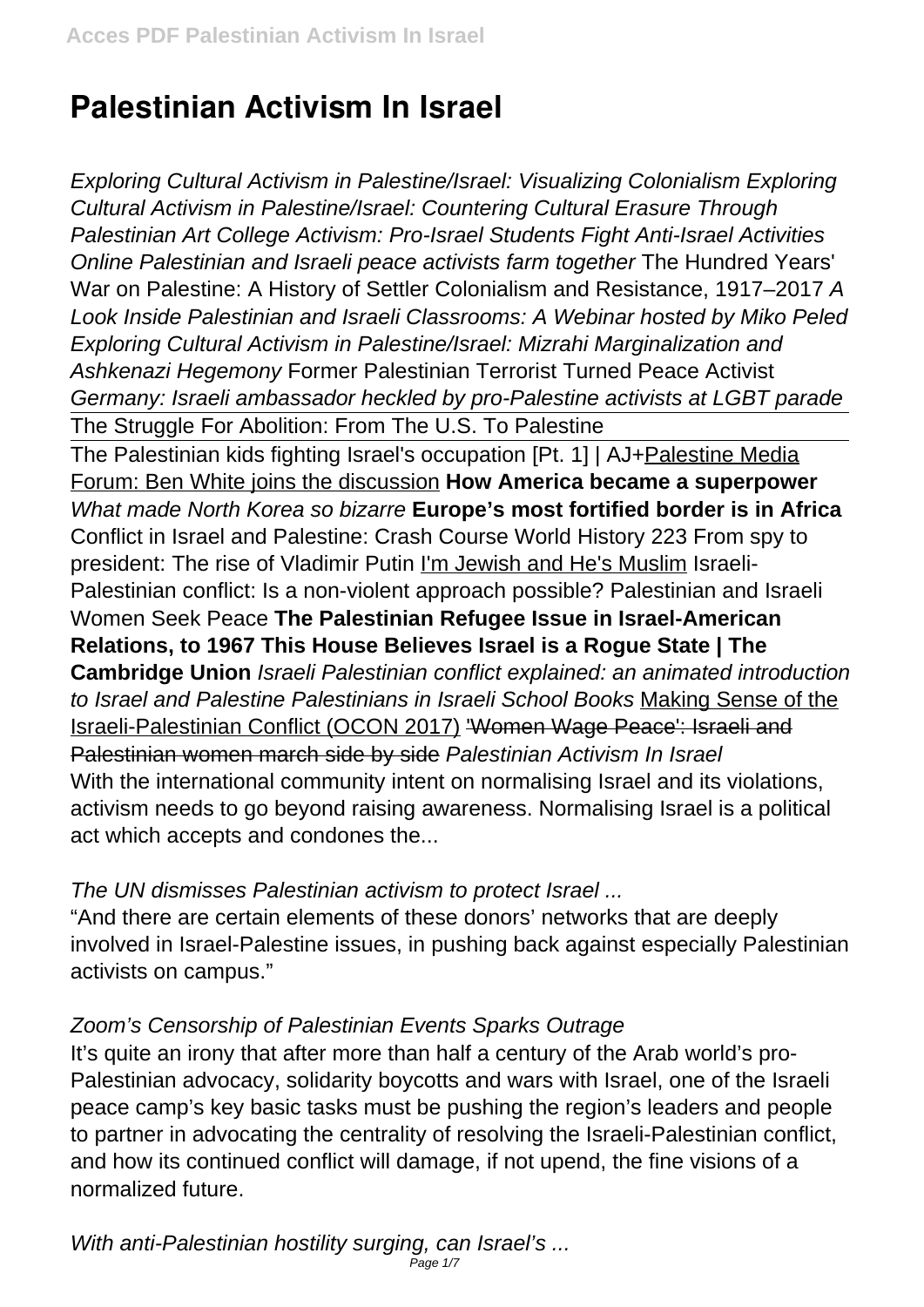# **Palestinian Activism In Israel**

Exploring Cultural Activism in Palestine/Israel: Visualizing Colonialism Exploring Cultural Activism in Palestine/Israel: Countering Cultural Erasure Through Palestinian Art College Activism: Pro-Israel Students Fight Anti-Israel Activities Online Palestinian and Israeli peace activists farm together The Hundred Years' War on Palestine: A History of Settler Colonialism and Resistance, 1917–2017 A Look Inside Palestinian and Israeli Classrooms: A Webinar hosted by Miko Peled Exploring Cultural Activism in Palestine/Israel: Mizrahi Marginalization and Ashkenazi Hegemony Former Palestinian Terrorist Turned Peace Activist Germany: Israeli ambassador heckled by pro-Palestine activists at LGBT parade The Struggle For Abolition: From The U.S. To Palestine The Palestinian kids fighting Israel's occupation [Pt. 1] | AJ+Palestine Media Forum: Ben White joins the discussion **How America became a superpower** What made North Korea so bizarre **Europe's most fortified border is in Africa** Conflict in Israel and Palestine: Crash Course World History 223 From spy to president: The rise of Vladimir Putin I'm Jewish and He's Muslim Israeli-Palestinian conflict: Is a non-violent approach possible? Palestinian and Israeli Women Seek Peace **The Palestinian Refugee Issue in Israel-American Relations, to 1967 This House Believes Israel is a Rogue State | The Cambridge Union** Israeli Palestinian conflict explained: an animated introduction to Israel and Palestine Palestinians in Israeli School Books Making Sense of the Israeli-Palestinian Conflict (OCON 2017) 'Women Wage Peace': Israeli and Palestinian women march side by side Palestinian Activism In Israel With the international community intent on normalising Israel and its violations, activism needs to go beyond raising awareness. Normalising Israel is a political act which accepts and condones the...

## The UN dismisses Palestinian activism to protect Israel ...

"And there are certain elements of these donors' networks that are deeply involved in Israel-Palestine issues, in pushing back against especially Palestinian activists on campus."

## Zoom's Censorship of Palestinian Events Sparks Outrage

It's quite an irony that after more than half a century of the Arab world's pro-Palestinian advocacy, solidarity boycotts and wars with Israel, one of the Israeli peace camp's key basic tasks must be pushing the region's leaders and people to partner in advocating the centrality of resolving the Israeli-Palestinian conflict, and how its continued conflict will damage, if not upend, the fine visions of a normalized future.

With anti-Palestinian hostility surging, can Israel's ... Page 1/7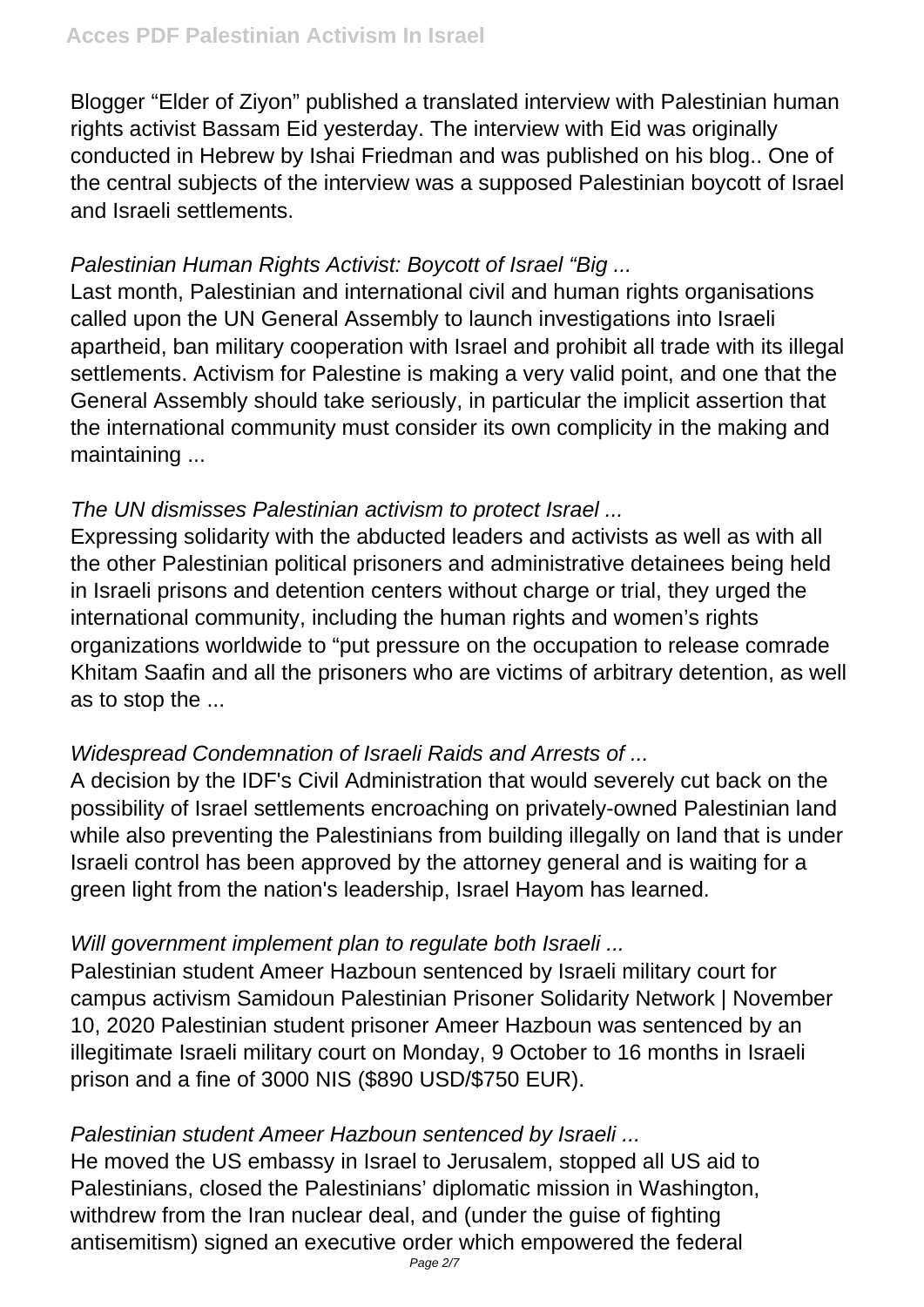Blogger "Elder of Ziyon" published a translated interview with Palestinian human rights activist Bassam Eid yesterday. The interview with Eid was originally conducted in Hebrew by Ishai Friedman and was published on his blog.. One of the central subjects of the interview was a supposed Palestinian boycott of Israel and Israeli settlements.

# Palestinian Human Rights Activist: Boycott of Israel "Big ...

Last month, Palestinian and international civil and human rights organisations called upon the UN General Assembly to launch investigations into Israeli apartheid, ban military cooperation with Israel and prohibit all trade with its illegal settlements. Activism for Palestine is making a very valid point, and one that the General Assembly should take seriously, in particular the implicit assertion that the international community must consider its own complicity in the making and maintaining ...

## The UN dismisses Palestinian activism to protect Israel ...

Expressing solidarity with the abducted leaders and activists as well as with all the other Palestinian political prisoners and administrative detainees being held in Israeli prisons and detention centers without charge or trial, they urged the international community, including the human rights and women's rights organizations worldwide to "put pressure on the occupation to release comrade Khitam Saafin and all the prisoners who are victims of arbitrary detention, as well as to stop the ...

## Widespread Condemnation of Israeli Raids and Arrests of ...

A decision by the IDF's Civil Administration that would severely cut back on the possibility of Israel settlements encroaching on privately-owned Palestinian land while also preventing the Palestinians from building illegally on land that is under Israeli control has been approved by the attorney general and is waiting for a green light from the nation's leadership, Israel Hayom has learned.

## Will government implement plan to regulate both Israeli ...

Palestinian student Ameer Hazboun sentenced by Israeli military court for campus activism Samidoun Palestinian Prisoner Solidarity Network | November 10, 2020 Palestinian student prisoner Ameer Hazboun was sentenced by an illegitimate Israeli military court on Monday, 9 October to 16 months in Israeli prison and a fine of 3000 NIS (\$890 USD/\$750 EUR).

## Palestinian student Ameer Hazboun sentenced by Israeli ...

He moved the US embassy in Israel to Jerusalem, stopped all US aid to Palestinians, closed the Palestinians' diplomatic mission in Washington, withdrew from the Iran nuclear deal, and (under the guise of fighting antisemitism) signed an executive order which empowered the federal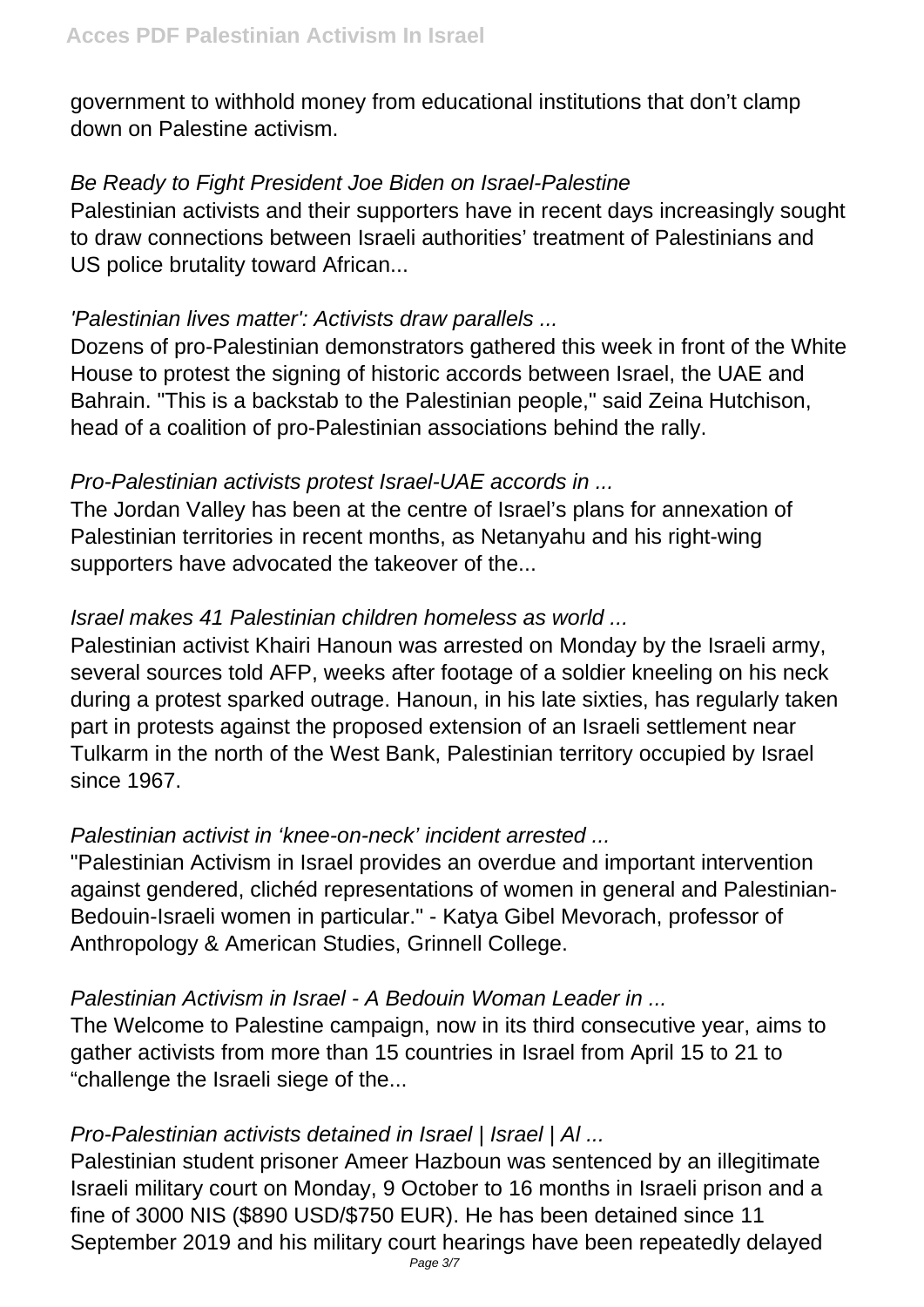government to withhold money from educational institutions that don't clamp down on Palestine activism.

#### Be Ready to Fight President Joe Biden on Israel-Palestine

Palestinian activists and their supporters have in recent days increasingly sought to draw connections between Israeli authorities' treatment of Palestinians and US police brutality toward African...

#### 'Palestinian lives matter': Activists draw parallels ...

Dozens of pro-Palestinian demonstrators gathered this week in front of the White House to protest the signing of historic accords between Israel, the UAE and Bahrain. "This is a backstab to the Palestinian people," said Zeina Hutchison, head of a coalition of pro-Palestinian associations behind the rally.

## Pro-Palestinian activists protest Israel-UAE accords in ...

The Jordan Valley has been at the centre of Israel's plans for annexation of Palestinian territories in recent months, as Netanyahu and his right-wing supporters have advocated the takeover of the...

## Israel makes 41 Palestinian children homeless as world ...

Palestinian activist Khairi Hanoun was arrested on Monday by the Israeli army, several sources told AFP, weeks after footage of a soldier kneeling on his neck during a protest sparked outrage. Hanoun, in his late sixties, has regularly taken part in protests against the proposed extension of an Israeli settlement near Tulkarm in the north of the West Bank, Palestinian territory occupied by Israel since 1967.

## Palestinian activist in 'knee-on-neck' incident arrested ...

"Palestinian Activism in Israel provides an overdue and important intervention against gendered, clichéd representations of women in general and Palestinian-Bedouin-Israeli women in particular." - Katya Gibel Mevorach, professor of Anthropology & American Studies, Grinnell College.

## Palestinian Activism in Israel - A Bedouin Woman Leader in ...

The Welcome to Palestine campaign, now in its third consecutive year, aims to gather activists from more than 15 countries in Israel from April 15 to 21 to "challenge the Israeli siege of the...

# Pro-Palestinian activists detained in Israel | Israel | Al ...

Palestinian student prisoner Ameer Hazboun was sentenced by an illegitimate Israeli military court on Monday, 9 October to 16 months in Israeli prison and a fine of 3000 NIS (\$890 USD/\$750 EUR). He has been detained since 11 September 2019 and his military court hearings have been repeatedly delayed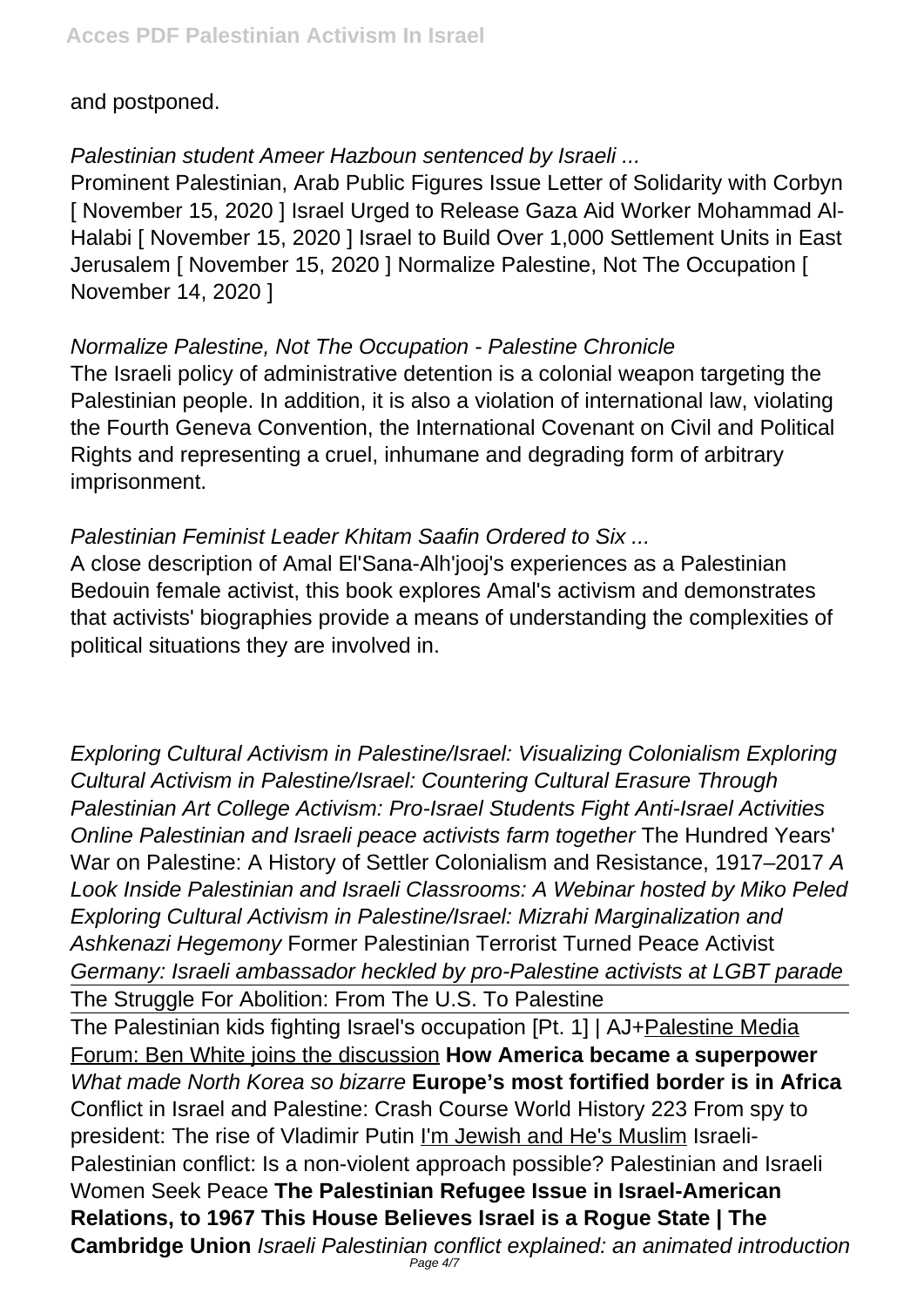and postponed.

## Palestinian student Ameer Hazboun sentenced by Israeli ...

Prominent Palestinian, Arab Public Figures Issue Letter of Solidarity with Corbyn [ November 15, 2020 ] Israel Urged to Release Gaza Aid Worker Mohammad Al-Halabi [ November 15, 2020 ] Israel to Build Over 1,000 Settlement Units in East Jerusalem [ November 15, 2020 ] Normalize Palestine, Not The Occupation [ November 14, 2020 ]

## Normalize Palestine, Not The Occupation - Palestine Chronicle

The Israeli policy of administrative detention is a colonial weapon targeting the Palestinian people. In addition, it is also a violation of international law, violating the Fourth Geneva Convention, the International Covenant on Civil and Political Rights and representing a cruel, inhumane and degrading form of arbitrary imprisonment.

## Palestinian Feminist Leader Khitam Saafin Ordered to Six ...

A close description of Amal El'Sana-Alh'jooj's experiences as a Palestinian Bedouin female activist, this book explores Amal's activism and demonstrates that activists' biographies provide a means of understanding the complexities of political situations they are involved in.

Exploring Cultural Activism in Palestine/Israel: Visualizing Colonialism Exploring Cultural Activism in Palestine/Israel: Countering Cultural Erasure Through Palestinian Art College Activism: Pro-Israel Students Fight Anti-Israel Activities Online Palestinian and Israeli peace activists farm together The Hundred Years' War on Palestine: A History of Settler Colonialism and Resistance, 1917–2017 A Look Inside Palestinian and Israeli Classrooms: A Webinar hosted by Miko Peled Exploring Cultural Activism in Palestine/Israel: Mizrahi Marginalization and Ashkenazi Hegemony Former Palestinian Terrorist Turned Peace Activist Germany: Israeli ambassador heckled by pro-Palestine activists at LGBT parade The Struggle For Abolition: From The U.S. To Palestine

The Palestinian kids fighting Israel's occupation [Pt. 1] | AJ+Palestine Media Forum: Ben White joins the discussion **How America became a superpower** What made North Korea so bizarre **Europe's most fortified border is in Africa** Conflict in Israel and Palestine: Crash Course World History 223 From spy to president: The rise of Vladimir Putin I'm Jewish and He's Muslim Israeli-Palestinian conflict: Is a non-violent approach possible? Palestinian and Israeli Women Seek Peace **The Palestinian Refugee Issue in Israel-American Relations, to 1967 This House Believes Israel is a Rogue State | The Cambridge Union** Israeli Palestinian conflict explained: an animated introduction Page 4/7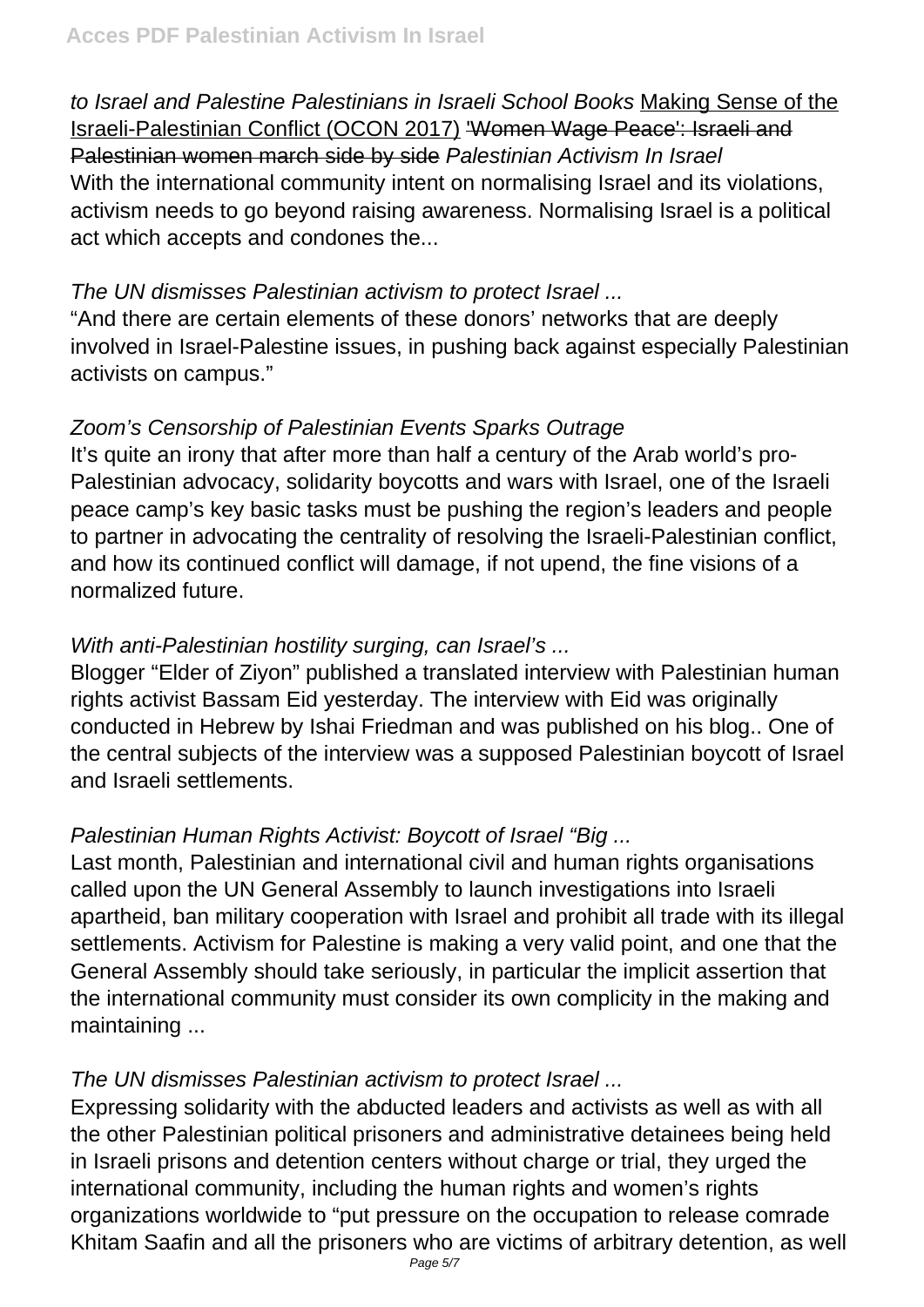to Israel and Palestine Palestinians in Israeli School Books Making Sense of the Israeli-Palestinian Conflict (OCON 2017) 'Women Wage Peace': Israeli and Palestinian women march side by side Palestinian Activism In Israel With the international community intent on normalising Israel and its violations, activism needs to go beyond raising awareness. Normalising Israel is a political act which accepts and condones the...

#### The UN dismisses Palestinian activism to protect Israel ...

"And there are certain elements of these donors' networks that are deeply involved in Israel-Palestine issues, in pushing back against especially Palestinian activists on campus."

## Zoom's Censorship of Palestinian Events Sparks Outrage

It's quite an irony that after more than half a century of the Arab world's pro-Palestinian advocacy, solidarity boycotts and wars with Israel, one of the Israeli peace camp's key basic tasks must be pushing the region's leaders and people to partner in advocating the centrality of resolving the Israeli-Palestinian conflict, and how its continued conflict will damage, if not upend, the fine visions of a normalized future.

## With anti-Palestinian hostility surging, can Israel's ...

Blogger "Elder of Ziyon" published a translated interview with Palestinian human rights activist Bassam Eid yesterday. The interview with Eid was originally conducted in Hebrew by Ishai Friedman and was published on his blog.. One of the central subjects of the interview was a supposed Palestinian boycott of Israel and Israeli settlements.

## Palestinian Human Rights Activist: Boycott of Israel "Big ...

Last month, Palestinian and international civil and human rights organisations called upon the UN General Assembly to launch investigations into Israeli apartheid, ban military cooperation with Israel and prohibit all trade with its illegal settlements. Activism for Palestine is making a very valid point, and one that the General Assembly should take seriously, in particular the implicit assertion that the international community must consider its own complicity in the making and maintaining ...

## The UN dismisses Palestinian activism to protect Israel ...

Expressing solidarity with the abducted leaders and activists as well as with all the other Palestinian political prisoners and administrative detainees being held in Israeli prisons and detention centers without charge or trial, they urged the international community, including the human rights and women's rights organizations worldwide to "put pressure on the occupation to release comrade Khitam Saafin and all the prisoners who are victims of arbitrary detention, as well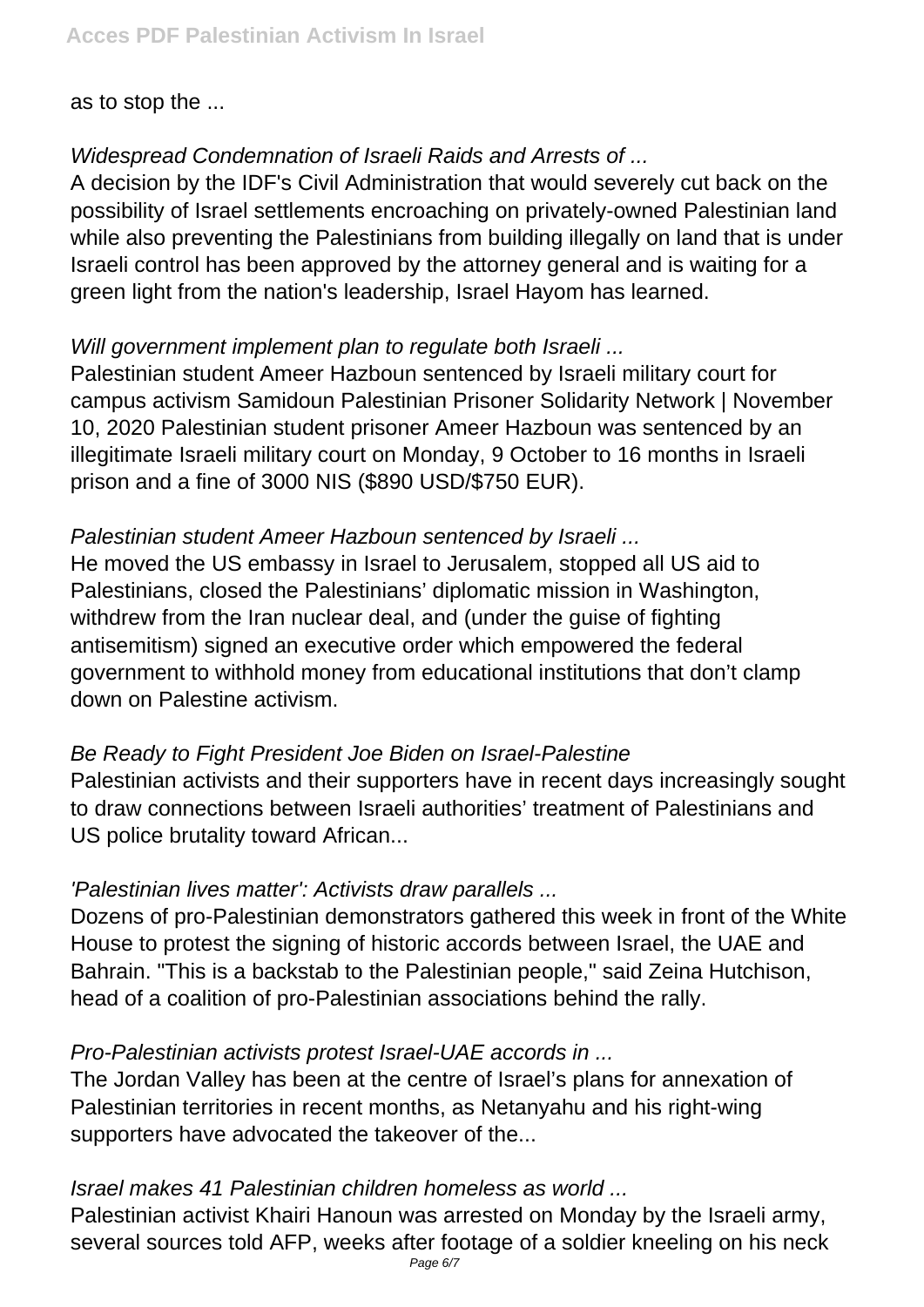as to stop the ...

## Widespread Condemnation of Israeli Raids and Arrests of ...

A decision by the IDF's Civil Administration that would severely cut back on the possibility of Israel settlements encroaching on privately-owned Palestinian land while also preventing the Palestinians from building illegally on land that is under Israeli control has been approved by the attorney general and is waiting for a green light from the nation's leadership, Israel Hayom has learned.

## Will government implement plan to regulate both Israeli ...

Palestinian student Ameer Hazboun sentenced by Israeli military court for campus activism Samidoun Palestinian Prisoner Solidarity Network | November 10, 2020 Palestinian student prisoner Ameer Hazboun was sentenced by an illegitimate Israeli military court on Monday, 9 October to 16 months in Israeli prison and a fine of 3000 NIS (\$890 USD/\$750 EUR).

## Palestinian student Ameer Hazboun sentenced by Israeli ...

He moved the US embassy in Israel to Jerusalem, stopped all US aid to Palestinians, closed the Palestinians' diplomatic mission in Washington, withdrew from the Iran nuclear deal, and (under the guise of fighting antisemitism) signed an executive order which empowered the federal government to withhold money from educational institutions that don't clamp down on Palestine activism.

## Be Ready to Fight President Joe Biden on Israel-Palestine

Palestinian activists and their supporters have in recent days increasingly sought to draw connections between Israeli authorities' treatment of Palestinians and US police brutality toward African...

#### 'Palestinian lives matter': Activists draw parallels ...

Dozens of pro-Palestinian demonstrators gathered this week in front of the White House to protest the signing of historic accords between Israel, the UAE and Bahrain. "This is a backstab to the Palestinian people," said Zeina Hutchison, head of a coalition of pro-Palestinian associations behind the rally.

## Pro-Palestinian activists protest Israel-UAE accords in ...

The Jordan Valley has been at the centre of Israel's plans for annexation of Palestinian territories in recent months, as Netanyahu and his right-wing supporters have advocated the takeover of the...

## Israel makes 41 Palestinian children homeless as world ...

Palestinian activist Khairi Hanoun was arrested on Monday by the Israeli army, several sources told AFP, weeks after footage of a soldier kneeling on his neck